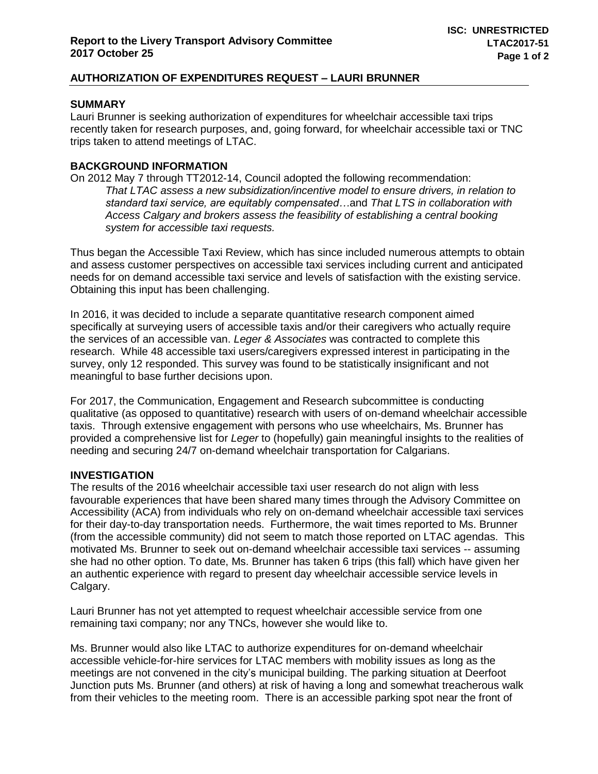## **AUTHORIZATION OF EXPENDITURES REQUEST – LAURI BRUNNER**

### **SUMMARY**

Lauri Brunner is seeking authorization of expenditures for wheelchair accessible taxi trips recently taken for research purposes, and, going forward, for wheelchair accessible taxi or TNC trips taken to attend meetings of LTAC.

### **BACKGROUND INFORMATION**

On 2012 May 7 through TT2012-14, Council adopted the following recommendation: *That LTAC assess a new subsidization/incentive model to ensure drivers, in relation to standard taxi service, are equitably compensated…*and *That LTS in collaboration with Access Calgary and brokers assess the feasibility of establishing a central booking system for accessible taxi requests.*

Thus began the Accessible Taxi Review, which has since included numerous attempts to obtain and assess customer perspectives on accessible taxi services including current and anticipated needs for on demand accessible taxi service and levels of satisfaction with the existing service. Obtaining this input has been challenging.

In 2016, it was decided to include a separate quantitative research component aimed specifically at surveying users of accessible taxis and/or their caregivers who actually require the services of an accessible van. *Leger & Associates* was contracted to complete this research. While 48 accessible taxi users/caregivers expressed interest in participating in the survey, only 12 responded. This survey was found to be statistically insignificant and not meaningful to base further decisions upon.

For 2017, the Communication, Engagement and Research subcommittee is conducting qualitative (as opposed to quantitative) research with users of on-demand wheelchair accessible taxis. Through extensive engagement with persons who use wheelchairs, Ms. Brunner has provided a comprehensive list for *Leger* to (hopefully) gain meaningful insights to the realities of needing and securing 24/7 on-demand wheelchair transportation for Calgarians.

#### **INVESTIGATION**

The results of the 2016 wheelchair accessible taxi user research do not align with less favourable experiences that have been shared many times through the Advisory Committee on Accessibility (ACA) from individuals who rely on on-demand wheelchair accessible taxi services for their day-to-day transportation needs. Furthermore, the wait times reported to Ms. Brunner (from the accessible community) did not seem to match those reported on LTAC agendas. This motivated Ms. Brunner to seek out on-demand wheelchair accessible taxi services -- assuming she had no other option. To date, Ms. Brunner has taken 6 trips (this fall) which have given her an authentic experience with regard to present day wheelchair accessible service levels in Calgary.

Lauri Brunner has not yet attempted to request wheelchair accessible service from one remaining taxi company; nor any TNCs, however she would like to.

Ms. Brunner would also like LTAC to authorize expenditures for on-demand wheelchair accessible vehicle-for-hire services for LTAC members with mobility issues as long as the meetings are not convened in the city's municipal building. The parking situation at Deerfoot Junction puts Ms. Brunner (and others) at risk of having a long and somewhat treacherous walk from their vehicles to the meeting room. There is an accessible parking spot near the front of